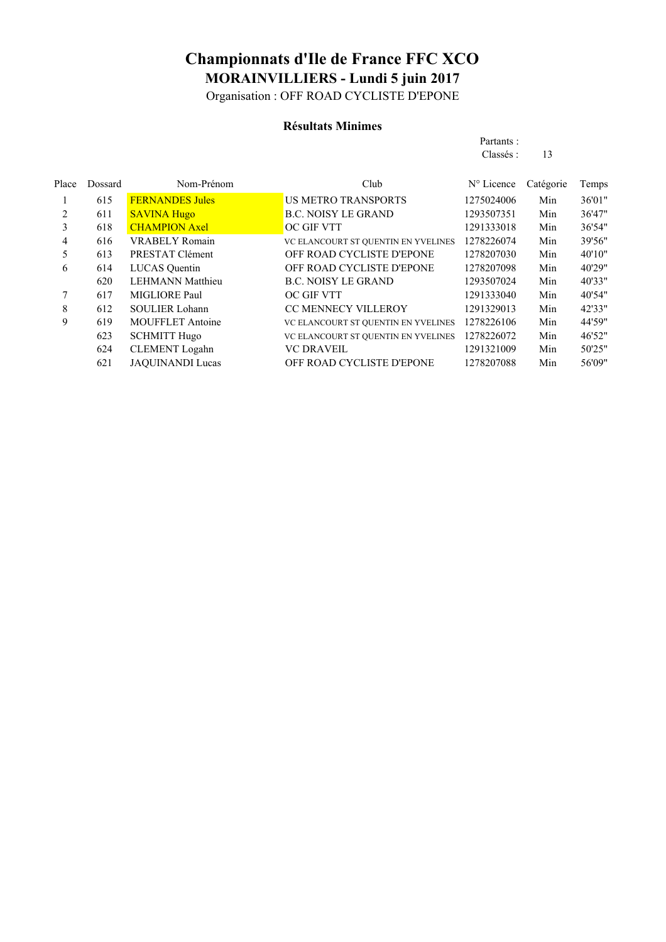Organisation : OFF ROAD CYCLISTE D'EPONE

### **Résultats Minimes**

| Partants : |    |
|------------|----|
| Classés :  | 13 |

| Dossard | Nom-Prénom              | Club                                | $N^{\circ}$ Licence | Catégorie | Temps  |
|---------|-------------------------|-------------------------------------|---------------------|-----------|--------|
| 615     | <b>FERNANDES Jules</b>  | <b>US METRO TRANSPORTS</b>          | 1275024006          | Min       | 36'01" |
| 611     | <b>SAVINA Hugo</b>      | <b>B.C. NOISY LE GRAND</b>          | 1293507351          | Min       | 36'47" |
| 618     | <b>CHAMPION Axel</b>    | OC GIF VTT                          | 1291333018          | Min       | 36'54" |
| 616     | <b>VRABELY Romain</b>   | VC ELANCOURT ST QUENTIN EN YVELINES | 1278226074          | Min       | 39'56" |
| 613     | PRESTAT Clément         | OFF ROAD CYCLISTE D'EPONE           | 1278207030          | Min       | 40'10" |
| 614     | <b>LUCAS</b> Quentin    | OFF ROAD CYCLISTE D'EPONE           | 1278207098          | Min       | 40'29" |
| 620     | <b>LEHMANN Matthieu</b> | <b>B.C. NOISY LE GRAND</b>          | 1293507024          | Min       | 40'33" |
| 617     | MIGLIORE Paul           | OC GIF VTT                          | 1291333040          | Min       | 40'54" |
| 612     | <b>SOULIER Lohann</b>   | <b>CC MENNECY VILLEROY</b>          | 1291329013          | Min       | 42'33" |
| 619     | <b>MOUFFLET Antoine</b> | VC ELANCOURT ST QUENTIN EN YVELINES | 1278226106          | Min       | 44'59" |
| 623     | <b>SCHMITT Hugo</b>     | VC ELANCOURT ST QUENTIN EN YVELINES | 1278226072          | Min       | 46'52" |
| 624     | <b>CLEMENT</b> Logahn   | <b>VC DRAVEIL</b>                   | 1291321009          | Min       | 50'25" |
| 621     | <b>JAQUINANDI Lucas</b> | OFF ROAD CYCLISTE D'EPONE           | 1278207088          | Min       | 56'09" |
|         |                         |                                     |                     |           |        |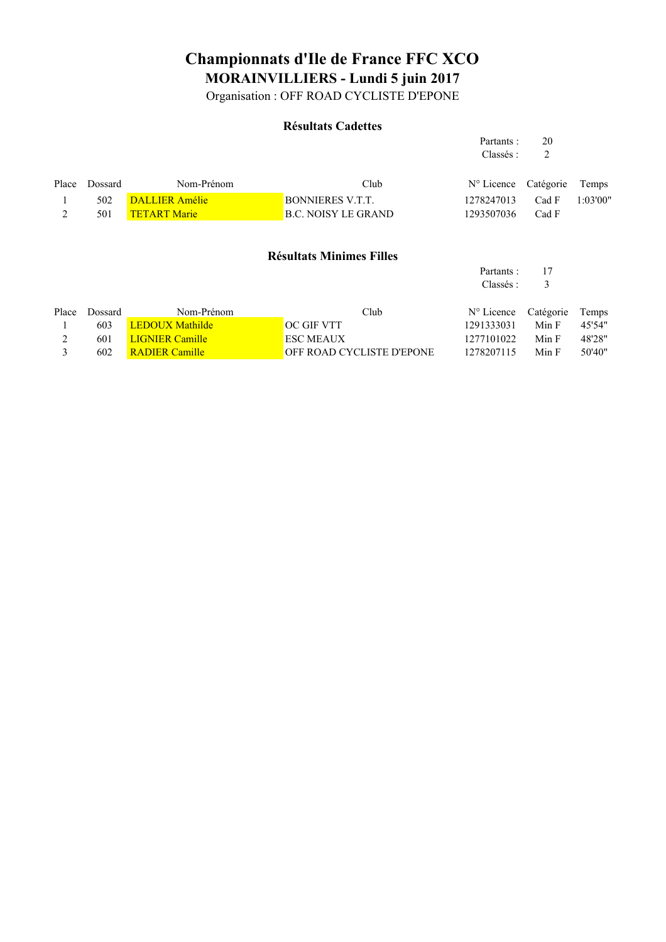Organisation : OFF ROAD CYCLISTE D'EPONE

#### **Résultats Cadettes**

|       |         |                        |                                  | Partants:              | 20        |          |
|-------|---------|------------------------|----------------------------------|------------------------|-----------|----------|
|       |         |                        |                                  | Classés :              | 2         |          |
| Place | Dossard | Nom-Prénom             | Club                             | N° Licence             | Catégorie | Temps    |
|       | 502     | <b>DALLIER Amélie</b>  | <b>BONNIERES V.T.T.</b>          | 1278247013             | Cad F     | 1:03'00" |
| 2     | 501     | <b>TETART Marie</b>    | <b>B.C. NOISY LE GRAND</b>       | 1293507036             | Cad F     |          |
|       |         |                        | <b>Résultats Minimes Filles</b>  | Partants :<br>Classés: | 17<br>3   |          |
| Place | Dossard | Nom-Prénom             | Club                             | $N^{\circ}$ Licence    | Catégorie | Temps    |
|       | 603     | <b>LEDOUX Mathilde</b> | <b>OC GIF VTT</b>                | 1291333031             | Min F     | 45'54"   |
| 2     | 601     | <b>LIGNIER Camille</b> | <b>ESC MEAUX</b>                 | 1277101022             | Min F     | 48'28"   |
| 3     | 602     | <b>RADIER Camille</b>  | <b>OFF ROAD CYCLISTE D'EPONE</b> | 1278207115             | Min F     | 50'40"   |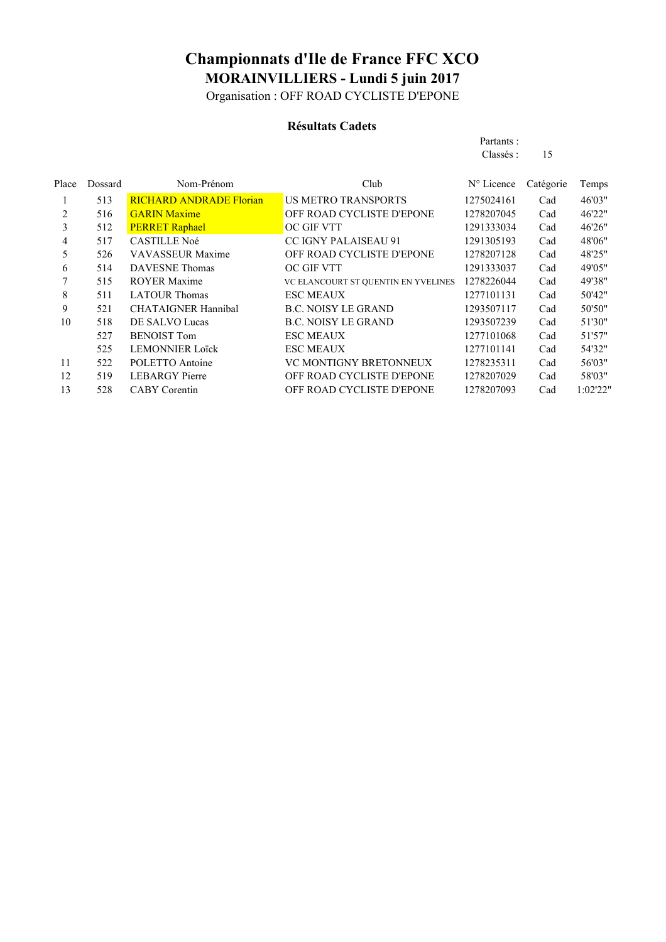Organisation : OFF ROAD CYCLISTE D'EPONE

#### **Résultats Cadets**

| Partants: |    |
|-----------|----|
| Classés:  | 15 |

| Place | Dossard | Nom-Prénom                     | Club                                | N° Licence | Catégorie | Temps    |
|-------|---------|--------------------------------|-------------------------------------|------------|-----------|----------|
| 1     | 513     | <b>RICHARD ANDRADE Florian</b> | <b>US METRO TRANSPORTS</b>          | 1275024161 | Cad       | 46'03"   |
| 2     | 516     | <b>GARIN Maxime</b>            | OFF ROAD CYCLISTE D'EPONE           | 1278207045 | Cad       | 46'22"   |
| 3     | 512     | <b>PERRET Raphael</b>          | OC GIF VTT                          | 1291333034 | Cad       | 46'26"   |
| 4     | 517     | <b>CASTILLE Noé</b>            | <b>CC IGNY PALAISEAU 91</b>         | 1291305193 | Cad       | 48'06"   |
| 5     | 526     | <b>VAVASSEUR Maxime</b>        | OFF ROAD CYCLISTE D'EPONE           | 1278207128 | Cad       | 48'25"   |
| 6     | 514     | <b>DAVESNE</b> Thomas          | <b>OC GIF VTT</b>                   | 1291333037 | Cad       | 49'05"   |
|       | 515     | <b>ROYER Maxime</b>            | VC ELANCOURT ST QUENTIN EN YVELINES | 1278226044 | Cad       | 49'38"   |
| 8     | 511     | <b>LATOUR Thomas</b>           | <b>ESC MEAUX</b>                    | 1277101131 | Cad       | 50'42"   |
| 9     | 521     | <b>CHATAIGNER Hannibal</b>     | <b>B.C. NOISY LE GRAND</b>          | 1293507117 | Cad       | 50'50"   |
| 10    | 518     | DE SALVO Lucas                 | <b>B.C. NOISY LE GRAND</b>          | 1293507239 | Cad       | 51'30"   |
|       | 527     | <b>BENOIST Tom</b>             | <b>ESC MEAUX</b>                    | 1277101068 | Cad       | 51'57"   |
|       | 525     | <b>LEMONNIER Loïck</b>         | <b>ESC MEAUX</b>                    | 1277101141 | Cad       | 54'32"   |
| 11    | 522     | POLETTO Antoine                | VC MONTIGNY BRETONNEUX              | 1278235311 | Cad       | 56'03"   |
| 12    | 519     | <b>LEBARGY</b> Pierre          | OFF ROAD CYCLISTE D'EPONE           | 1278207029 | Cad       | 58'03"   |
| 13    | 528     | <b>CABY</b> Corentin           | OFF ROAD CYCLISTE D'EPONE           | 1278207093 | Cad       | 1:02'22" |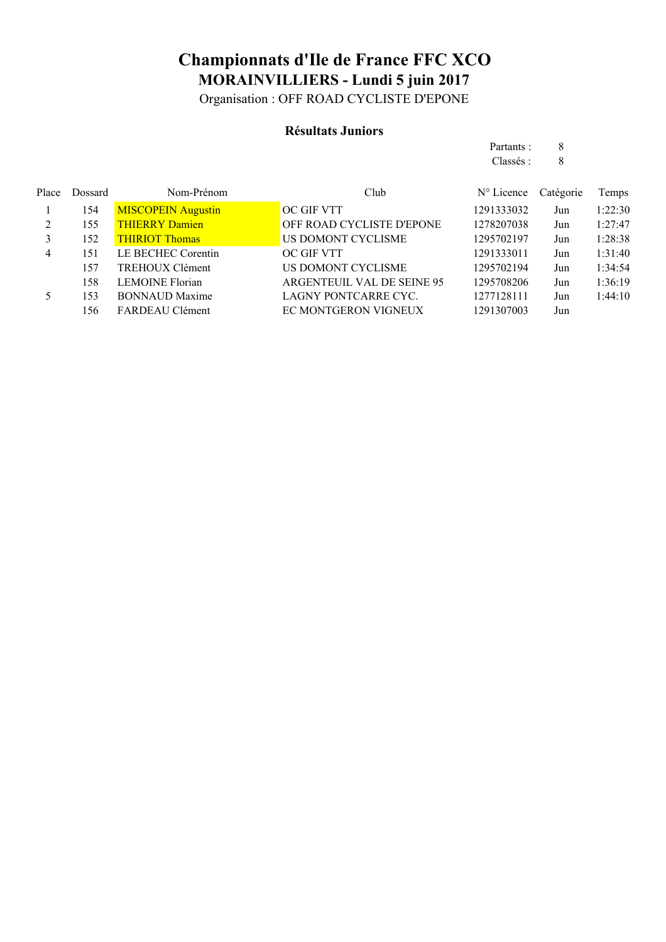Organisation : OFF ROAD CYCLISTE D'EPONE

### **Résultats Juniors**

|                |         |                           |                            | Partants:           | 8         |         |
|----------------|---------|---------------------------|----------------------------|---------------------|-----------|---------|
|                |         |                           |                            | Classés:            | 8         |         |
| Place          | Dossard | Nom-Prénom                | Club                       | $N^{\circ}$ Licence | Catégorie | Temps   |
|                | 154     | <b>MISCOPEIN Augustin</b> | OC GIF VTT                 | 1291333032          | Jun       | 1:22:30 |
| $\mathfrak{D}$ | 155     | <b>THIERRY Damien</b>     | OFF ROAD CYCLISTE D'EPONE  | 1278207038          | Jun       | 1:27:47 |
| 3              | 152     | <b>THIRIOT Thomas</b>     | US DOMONT CYCLISME         | 1295702197          | Jun       | 1:28:38 |
| 4              | 151     | LE BECHEC Corentin        | <b>OC GIF VTT</b>          | 1291333011          | Jun       | 1:31:40 |
|                | 157     | <b>TREHOUX Clément</b>    | US DOMONT CYCLISME         | 1295702194          | Jun       | 1:34:54 |
|                | 158     | <b>LEMOINE Florian</b>    | ARGENTEUIL VAL DE SEINE 95 | 1295708206          | Jun       | 1:36:19 |
| 5.             | 153     | <b>BONNAUD Maxime</b>     | LAGNY PONTCARRE CYC.       | 1277128111          | Jun       | 1:44:10 |
|                | 156     | FARDEAU Clément           | EC MONTGERON VIGNEUX       | 1291307003          | Jun       |         |
|                |         |                           |                            |                     |           |         |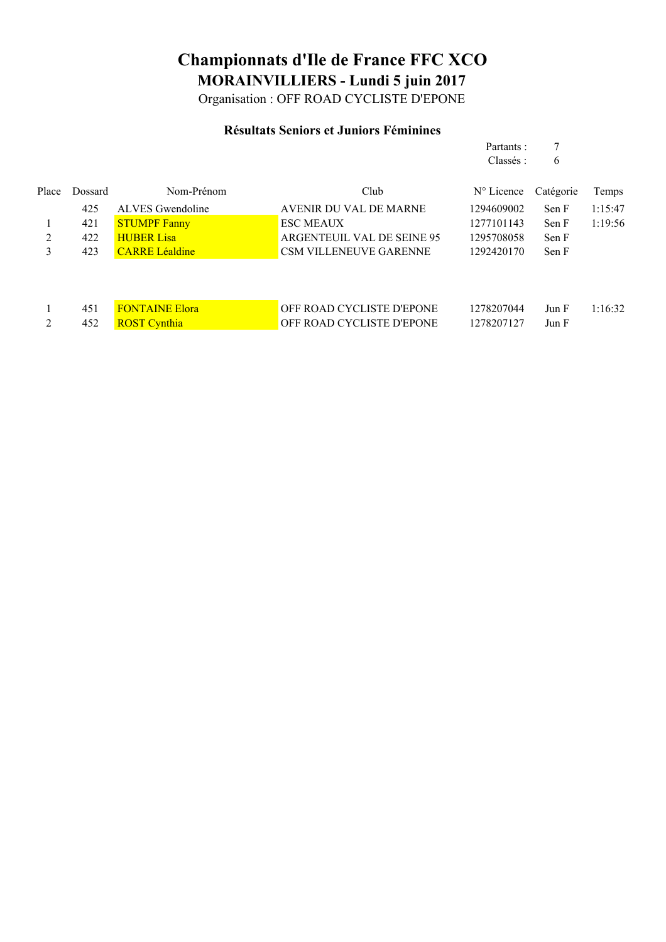Organisation : OFF ROAD CYCLISTE D'EPONE

### **Résultats Seniors et Juniors Féminines**

Partants : 7

|                |         |                       |                                  | Classés:            | 6         |         |
|----------------|---------|-----------------------|----------------------------------|---------------------|-----------|---------|
| Place          | Dossard | Nom-Prénom            | Club                             | $N^{\circ}$ Licence | Catégorie | Temps   |
|                | 425     | ALVES Gwendoline      | AVENIR DU VAL DE MARNE           | 1294609002          | Sen F     | 1:15:47 |
|                | 421     | <b>STUMPF Fanny</b>   | <b>ESC MEAUX</b>                 | 1277101143          | Sen F     | 1:19:56 |
| 2              | 422     | <b>HUBER Lisa</b>     | ARGENTEUIL VAL DE SEINE 95       | 1295708058          | Sen F     |         |
| 3              | 423     | <b>CARRE Léaldine</b> | <b>CSM VILLENEUVE GARENNE</b>    | 1292420170          | Sen F     |         |
|                |         |                       |                                  |                     |           |         |
|                |         |                       |                                  |                     |           |         |
|                | 451     | <b>FONTAINE Elora</b> | OFF ROAD CYCLISTE D'EPONE        | 1278207044          | Jun F     | 1:16:32 |
| $\overline{2}$ | 452     | <b>ROST Cynthia</b>   | <b>OFF ROAD CYCLISTE D'EPONE</b> | 1278207127          | Jun F     |         |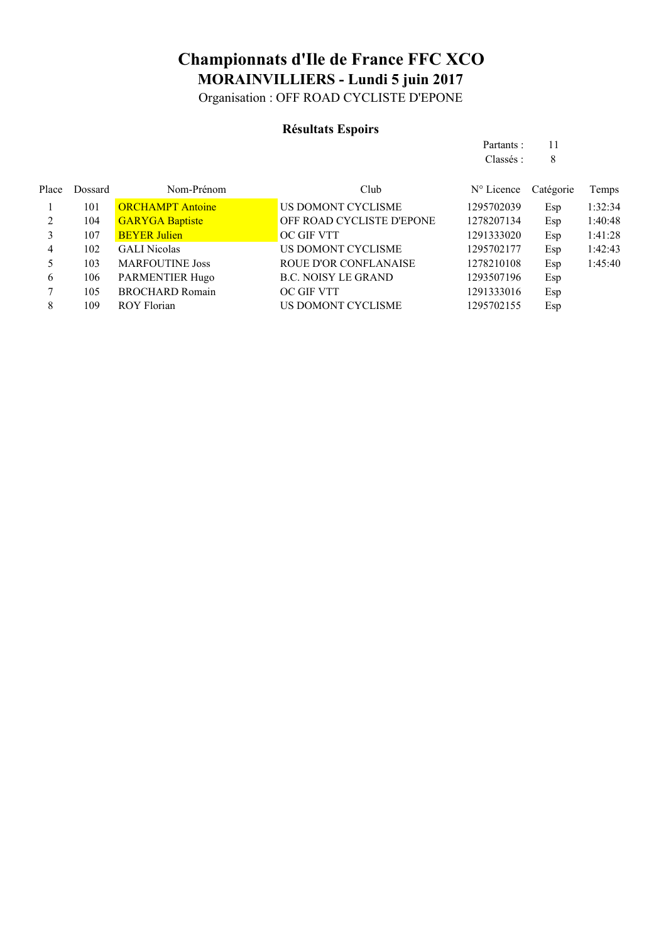Organisation : OFF ROAD CYCLISTE D'EPONE

#### **Résultats Espoirs**

|       |         |                         |                    | Partants :                    |      |         |
|-------|---------|-------------------------|--------------------|-------------------------------|------|---------|
|       |         |                         |                    | Classés :                     |      |         |
| Place | Dossard | Nom-Prénom              | Club               | $N^{\circ}$ Licence Catégorie |      | Temps   |
|       | 101     | <b>ORCHAMPT</b> Antoine | US DOMONT CYCLISME | 1295702039                    | Esp. | 1:32:34 |

|   | 101 | <b>ORCHAMPT Antoine</b> | US DOMONT CYCLISME           | 1295702039 | Esp | 1:32:34 |
|---|-----|-------------------------|------------------------------|------------|-----|---------|
| 2 | 104 | <b>GARYGA Baptiste</b>  | OFF ROAD CYCLISTE D'EPONE    | 1278207134 | Esp | 1:40:48 |
|   | 107 | <b>BEYER Julien</b>     | OC GIF VTT                   | 1291333020 | Esp | 1:41:28 |
| 4 | 102 | <b>GALI</b> Nicolas     | US DOMONT CYCLISME           | 1295702177 | Esp | 1:42:43 |
|   | 103 | <b>MARFOUTINE Joss</b>  | <b>ROUE D'OR CONFLANAISE</b> | 1278210108 | Esp | 1:45:40 |
| 6 | 106 | <b>PARMENTIER Hugo</b>  | <b>B.C. NOISY LE GRAND</b>   | 1293507196 | Esp |         |
|   | 105 | <b>BROCHARD Romain</b>  | OC GIF VTT                   | 1291333016 | Esp |         |
|   | 109 | <b>ROY Florian</b>      | US DOMONT CYCLISME           | 1295702155 | Esp |         |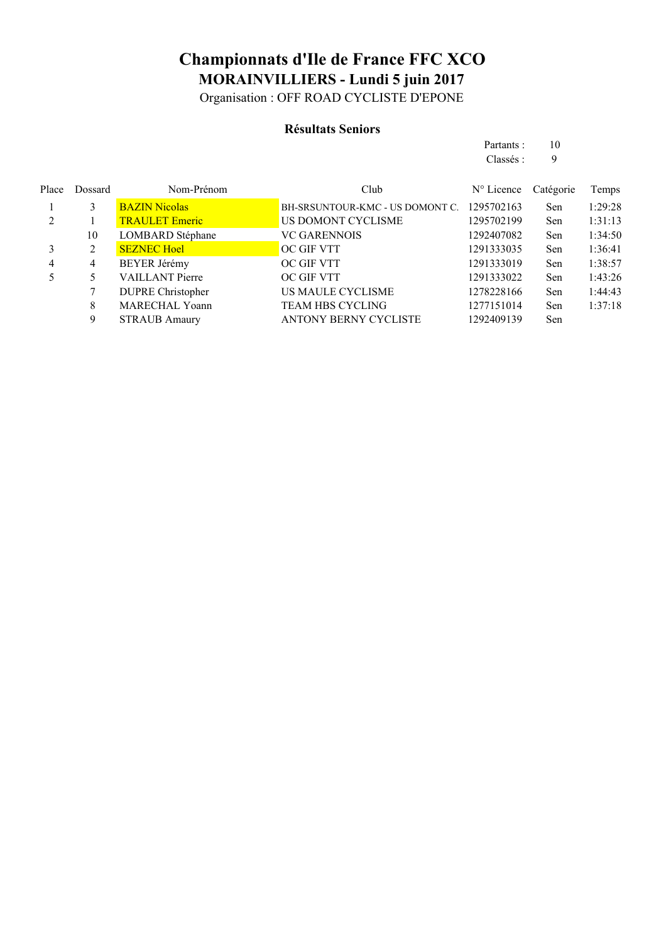Organisation : OFF ROAD CYCLISTE D'EPONE

#### **Résultats Seniors**

| Partants : | 10 |
|------------|----|
| Classés :  | 9  |
|            |    |

| Place | Dossard       | Nom-Prénom               | Club                            | $N^{\circ}$ Licence | Catégorie | Temps   |
|-------|---------------|--------------------------|---------------------------------|---------------------|-----------|---------|
|       | $\mathcal{E}$ | <b>BAZIN Nicolas</b>     | BH-SRSUNTOUR-KMC - US DOMONT C. | 1295702163          | Sen       | 1:29:28 |
|       |               | <b>TRAULET Emeric</b>    | US DOMONT CYCLISME              | 1295702199          | Sen       | 1:31:13 |
|       | 10            | <b>LOMBARD</b> Stéphane  | <b>VC GARENNOIS</b>             | 1292407082          | Sen       | 1:34:50 |
|       | 2             | <b>SEZNEC Hoel</b>       | <b>OC GIF VTT</b>               | 1291333035          | Sen       | 1:36:41 |
| 4     | 4             | <b>BEYER Jérémy</b>      | OC GIF VTT                      | 1291333019          | Sen       | 1:38:57 |
|       |               | <b>VAILLANT Pierre</b>   | OC GIF VTT                      | 1291333022          | Sen       | 1:43:26 |
|       |               | <b>DUPRE Christopher</b> | US MAULE CYCLISME               | 1278228166          | Sen       | 1:44:43 |
|       | 8             | <b>MARECHAL Yoann</b>    | <b>TEAM HBS CYCLING</b>         | 1277151014          | Sen       | 1:37:18 |
|       | 9             | <b>STRAUB Amaury</b>     | <b>ANTONY BERNY CYCLISTE</b>    | 1292409139          | Sen       |         |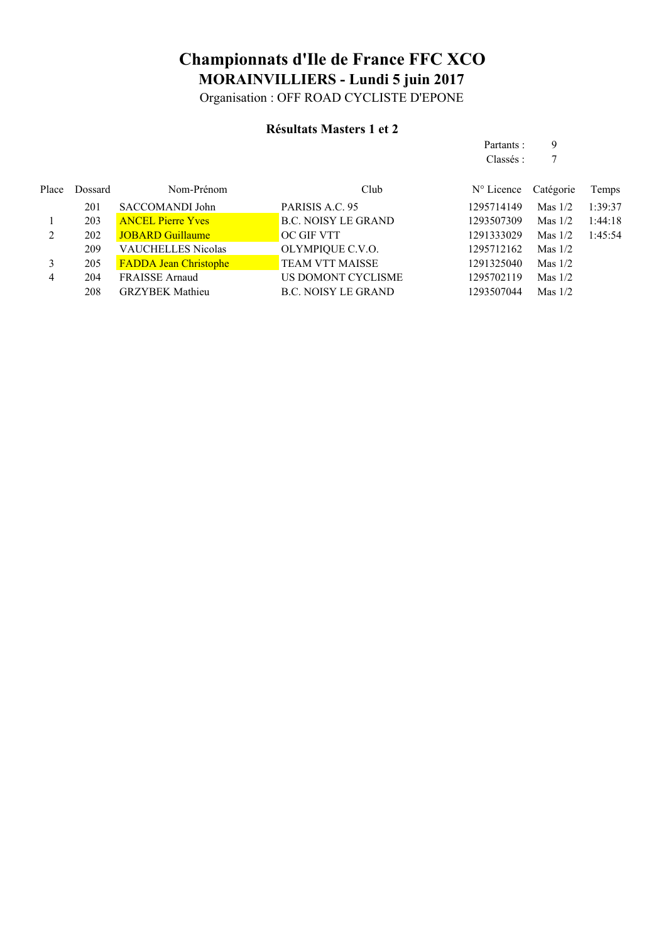Organisation : OFF ROAD CYCLISTE D'EPONE

#### **Résultats Masters 1 et 2**

|       |                |                              |                            | Partants:           | 9         |         |
|-------|----------------|------------------------------|----------------------------|---------------------|-----------|---------|
|       |                |                              |                            | Classés :           | 7         |         |
| Place | <b>Dossard</b> | Nom-Prénom                   | Club                       | $N^{\circ}$ Licence | Catégorie | Temps   |
|       | 201            | SACCOMANDI John              | PARISIS A.C. 95            | 1295714149          | Mas $1/2$ | 1:39:37 |
|       | 203            | <b>ANCEL Pierre Yves</b>     | <b>B.C. NOISY LE GRAND</b> | 1293507309          | Mas $1/2$ | 1:44:18 |
| 2     | 202            | <b>JOBARD Guillaume</b>      | OC GIF VTT                 | 1291333029          | Mas $1/2$ | 1:45:54 |
|       | 209            | <b>VAUCHELLES Nicolas</b>    | OLYMPIQUE C.V.O.           | 1295712162          | Mas $1/2$ |         |
| 3     | 205            | <b>FADDA Jean Christophe</b> | <b>TEAM VTT MAISSE</b>     | 1291325040          | Mas $1/2$ |         |
| 4     | 204            | <b>FRAISSE Arnaud</b>        | US DOMONT CYCLISME         | 1295702119          | Mas $1/2$ |         |
|       | 208            | <b>GRZYBEK Mathieu</b>       | <b>B.C. NOISY LE GRAND</b> | 1293507044          | Mas $1/2$ |         |
|       |                |                              |                            |                     |           |         |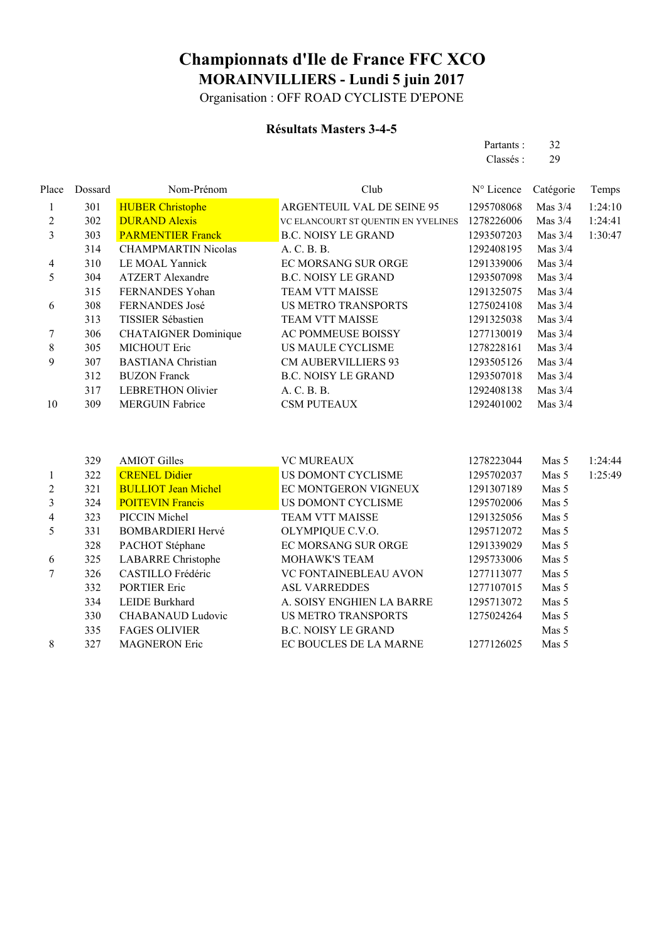Organisation : OFF ROAD CYCLISTE D'EPONE

#### **Résultats Masters 3-4-5**

| Partants : | 32 |
|------------|----|
| Classés :  | 29 |
|            |    |

| Place                   | Dossard | Nom-Prénom                  | Club                                | N° Licence | Catégorie | Temps   |
|-------------------------|---------|-----------------------------|-------------------------------------|------------|-----------|---------|
| $\mathbf{1}$            | 301     | <b>HUBER Christophe</b>     | ARGENTEUIL VAL DE SEINE 95          | 1295708068 | Mas $3/4$ | 1:24:10 |
| $\overline{2}$          | 302     | <b>DURAND Alexis</b>        | VC ELANCOURT ST QUENTIN EN YVELINES | 1278226006 | Mas $3/4$ | 1:24:41 |
| 3                       | 303     | <b>PARMENTIER Franck</b>    | <b>B.C. NOISY LE GRAND</b>          | 1293507203 | Mas $3/4$ | 1:30:47 |
|                         | 314     | <b>CHAMPMARTIN Nicolas</b>  | A. C. B. B.                         | 1292408195 | Mas $3/4$ |         |
| 4                       | 310     | LE MOAL Yannick             | EC MORSANG SUR ORGE                 | 1291339006 | Mas $3/4$ |         |
| 5                       | 304     | <b>ATZERT</b> Alexandre     | <b>B.C. NOISY LE GRAND</b>          | 1293507098 | Mas $3/4$ |         |
|                         | 315     | FERNANDES Yohan             | <b>TEAM VTT MAISSE</b>              | 1291325075 | Mas $3/4$ |         |
| 6                       | 308     | FERNANDES José              | <b>US METRO TRANSPORTS</b>          | 1275024108 | Mas $3/4$ |         |
|                         | 313     | TISSIER Sébastien           | <b>TEAM VTT MAISSE</b>              | 1291325038 | Mas $3/4$ |         |
| 7                       | 306     | <b>CHATAIGNER Dominique</b> | AC POMMEUSE BOISSY                  | 1277130019 | Mas 3/4   |         |
| 8                       | 305     | MICHOUT Eric                | US MAULE CYCLISME                   | 1278228161 | Mas $3/4$ |         |
| 9                       | 307     | <b>BASTIANA</b> Christian   | <b>CM AUBERVILLIERS 93</b>          | 1293505126 | Mas $3/4$ |         |
|                         | 312     | <b>BUZON Franck</b>         | <b>B.C. NOISY LE GRAND</b>          | 1293507018 | Mas $3/4$ |         |
|                         | 317     | <b>LEBRETHON Olivier</b>    | A. C. B. B.                         | 1292408138 | Mas $3/4$ |         |
| 10                      | 309     | <b>MERGUIN Fabrice</b>      | <b>CSM PUTEAUX</b>                  | 1292401002 | Mas $3/4$ |         |
|                         | 329     | <b>AMIOT Gilles</b>         | <b>VC MUREAUX</b>                   | 1278223044 | Mas 5     | 1:24:44 |
| 1                       | 322     | <b>CRENEL Didier</b>        | US DOMONT CYCLISME                  | 1295702037 | Mas 5     | 1:25:49 |
| $\overline{c}$          | 321     | <b>BULLIOT Jean Michel</b>  | EC MONTGERON VIGNEUX                | 1291307189 | Mas 5     |         |
| $\overline{\mathbf{3}}$ | 324     | <b>POITEVIN Francis</b>     | US DOMONT CYCLISME                  | 1295702006 | Mas 5     |         |
| 4                       | 323     | PICCIN Michel               | TEAM VTT MAISSE                     | 1291325056 | Mas 5     |         |
| 5                       | 331     | <b>BOMBARDIERI Hervé</b>    | OLYMPIQUE C.V.O.                    | 1295712072 | Mas 5     |         |
|                         | 328     | PACHOT Stéphane             | EC MORSANG SUR ORGE                 | 1291339029 | Mas 5     |         |
| 6                       | 325     | <b>LABARRE</b> Christophe   | MOHAWK'S TEAM                       | 1295733006 | Mas 5     |         |
| 7                       | 326     | CASTILLO Frédéric           | VC FONTAINEBLEAU AVON               | 1277113077 | Mas 5     |         |
|                         | 332     | <b>PORTIER Eric</b>         | <b>ASL VARREDDES</b>                | 1277107015 | Mas 5     |         |
|                         | 334     | <b>LEIDE Burkhard</b>       | A. SOISY ENGHIEN LA BARRE           | 1295713072 | Mas 5     |         |
|                         | 330     | <b>CHABANAUD Ludovic</b>    | <b>US METRO TRANSPORTS</b>          | 1275024264 | Mas 5     |         |
|                         |         |                             |                                     |            |           |         |
|                         | 335     | <b>FAGES OLIVIER</b>        | <b>B.C. NOISY LE GRAND</b>          |            | Mas 5     |         |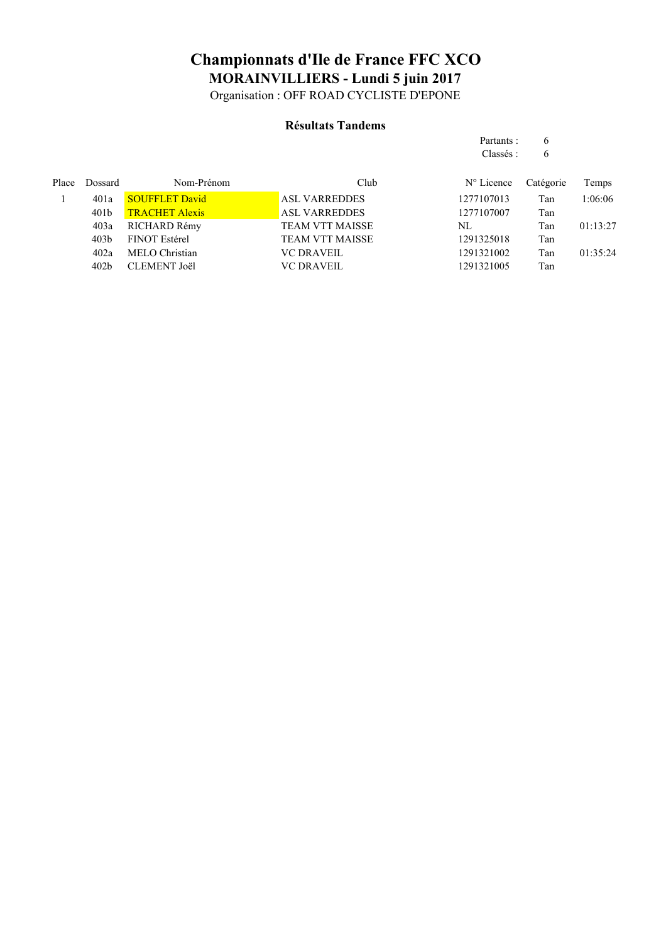Organisation : OFF ROAD CYCLISTE D'EPONE

#### **Résultats Tandems**

|       |                  |                       |                        | Partants:           | 6         |          |
|-------|------------------|-----------------------|------------------------|---------------------|-----------|----------|
|       |                  |                       |                        | Classés :           | 6         |          |
| Place | <b>Dossard</b>   | Nom-Prénom            | Club                   | $N^{\circ}$ Licence | Catégorie | Temps    |
|       | 401a             | <b>SOUFFLET David</b> | <b>ASL VARREDDES</b>   | 1277107013          | Tan       | 1:06:06  |
|       | 401 <sub>b</sub> | <b>TRACHET Alexis</b> | <b>ASL VARREDDES</b>   | 1277107007          | Tan       |          |
|       | 403a             | RICHARD Rémy          | <b>TEAM VTT MAISSE</b> | NL                  | Tan       | 01:13:27 |
|       | 403 <sub>b</sub> | <b>FINOT Estérel</b>  | <b>TEAM VTT MAISSE</b> | 1291325018          | Tan       |          |
|       | 402a             | MELO Christian        | <b>VC DRAVEIL</b>      | 1291321002          | Tan       | 01:35:24 |
|       | 402 <sub>b</sub> | <b>CLEMENT Joël</b>   | <b>VC DRAVEIL</b>      | 1291321005          | Tan       |          |